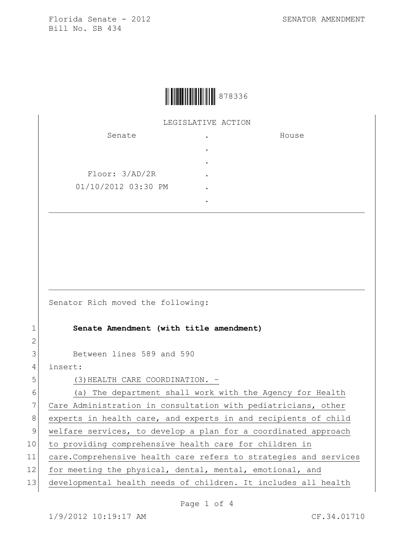

## LEGISLATIVE ACTION

| Senate              | ٠ | House |
|---------------------|---|-------|
|                     |   |       |
|                     | ٠ |       |
| Floor: 3/AD/2R      |   |       |
| 01/10/2012 03:30 PM |   |       |
|                     |   |       |

Senator Rich moved the following:

## 1 **Senate Amendment (with title amendment)**

3 Between lines 589 and 590

4 insert:

2

5 (3) HEALTH CARE COORDINATION. -

6 (a) The department shall work with the Agency for Health 7 Care Administration in consultation with pediatricians, other 8 experts in health care, and experts in and recipients of child 9 welfare services, to develop a plan for a coordinated approach 10 to providing comprehensive health care for children in 11 care.Comprehensive health care refers to strategies and services 12 for meeting the physical, dental, mental, emotional, and 13 developmental health needs of children. It includes all health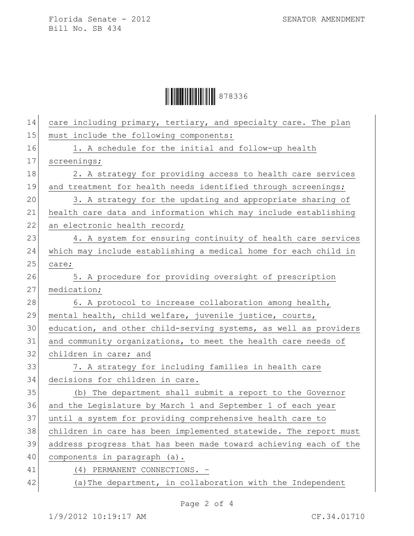## Ì878336BÎ878336

| 14 | care including primary, tertiary, and specialty care. The plan   |
|----|------------------------------------------------------------------|
| 15 | must include the following components:                           |
| 16 | 1. A schedule for the initial and follow-up health               |
| 17 | screenings;                                                      |
| 18 | 2. A strategy for providing access to health care services       |
| 19 | and treatment for health needs identified through screenings;    |
| 20 | 3. A strategy for the updating and appropriate sharing of        |
| 21 | health care data and information which may include establishing  |
| 22 | an electronic health record;                                     |
| 23 | 4. A system for ensuring continuity of health care services      |
| 24 | which may include establishing a medical home for each child in  |
| 25 | care;                                                            |
| 26 | 5. A procedure for providing oversight of prescription           |
| 27 | medication;                                                      |
| 28 | 6. A protocol to increase collaboration among health,            |
| 29 | mental health, child welfare, juvenile justice, courts,          |
| 30 | education, and other child-serving systems, as well as providers |
| 31 | and community organizations, to meet the health care needs of    |
| 32 | children in care; and                                            |
| 33 | 7. A strategy for including families in health care              |
| 34 | decisions for children in care.                                  |
| 35 | (b) The department shall submit a report to the Governor         |
| 36 | and the Legislature by March 1 and September 1 of each year      |
| 37 | until a system for providing comprehensive health care to        |
| 38 | children in care has been implemented statewide. The report must |
| 39 | address progress that has been made toward achieving each of the |
| 40 | components in paragraph (a).                                     |
| 41 | (4) PERMANENT CONNECTIONS. -                                     |
| 42 | (a) The department, in collaboration with the Independent        |
|    |                                                                  |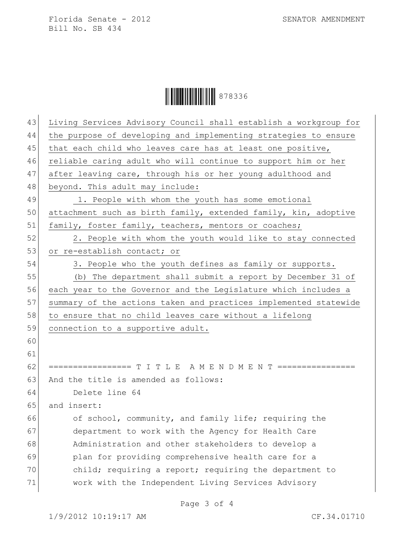## Ì878336BÎ878336

| 43 | Living Services Advisory Council shall establish a workgroup for |
|----|------------------------------------------------------------------|
| 44 | the purpose of developing and implementing strategies to ensure  |
| 45 | that each child who leaves care has at least one positive,       |
| 46 | reliable caring adult who will continue to support him or her    |
| 47 | after leaving care, through his or her young adulthood and       |
| 48 | beyond. This adult may include:                                  |
| 49 | 1. People with whom the youth has some emotional                 |
| 50 | attachment such as birth family, extended family, kin, adoptive  |
| 51 | family, foster family, teachers, mentors or coaches;             |
| 52 | 2. People with whom the youth would like to stay connected       |
| 53 | or re-establish contact; or                                      |
| 54 | 3. People who the youth defines as family or supports.           |
| 55 | (b) The department shall submit a report by December 31 of       |
| 56 | each year to the Governor and the Legislature which includes a   |
| 57 | summary of the actions taken and practices implemented statewide |
| 58 | to ensure that no child leaves care without a lifelong           |
| 59 | connection to a supportive adult.                                |
| 60 |                                                                  |
| 61 |                                                                  |
| 62 | ================= T I T L E A M E N D M E N T ================   |
| 63 | And the title is amended as follows:                             |
| 64 | Delete line 64                                                   |
| 65 | and insert:                                                      |
| 66 | of school, community, and family life; requiring the             |
| 67 | department to work with the Agency for Health Care               |
| 68 | Administration and other stakeholders to develop a               |
| 69 | plan for providing comprehensive health care for a               |
| 70 | child; requiring a report; requiring the department to           |
|    |                                                                  |
| 71 | work with the Independent Living Services Advisory               |

Page 3 of 4